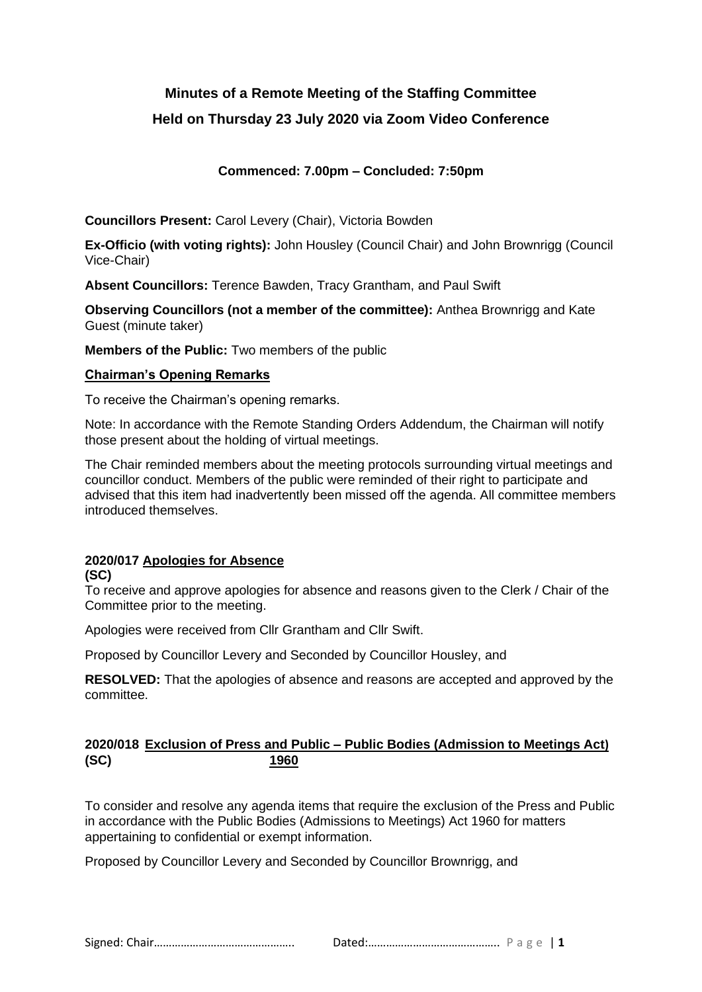# **Minutes of a Remote Meeting of the Staffing Committee**

# **Held on Thursday 23 July 2020 via Zoom Video Conference**

# **Commenced: 7.00pm – Concluded: 7:50pm**

**Councillors Present:** Carol Levery (Chair), Victoria Bowden

**Ex-Officio (with voting rights):** John Housley (Council Chair) and John Brownrigg (Council Vice-Chair)

**Absent Councillors:** Terence Bawden, Tracy Grantham, and Paul Swift

**Observing Councillors (not a member of the committee):** Anthea Brownrigg and Kate Guest (minute taker)

**Members of the Public:** Two members of the public

## **Chairman's Opening Remarks**

To receive the Chairman's opening remarks.

Note: In accordance with the Remote Standing Orders Addendum, the Chairman will notify those present about the holding of virtual meetings.

The Chair reminded members about the meeting protocols surrounding virtual meetings and councillor conduct. Members of the public were reminded of their right to participate and advised that this item had inadvertently been missed off the agenda. All committee members introduced themselves.

## **2020/017 Apologies for Absence**

#### **(SC)**

To receive and approve apologies for absence and reasons given to the Clerk / Chair of the Committee prior to the meeting.

Apologies were received from Cllr Grantham and Cllr Swift.

Proposed by Councillor Levery and Seconded by Councillor Housley, and

**RESOLVED:** That the apologies of absence and reasons are accepted and approved by the committee.

## **2020/018 Exclusion of Press and Public – Public Bodies (Admission to Meetings Act) (SC) 1960**

To consider and resolve any agenda items that require the exclusion of the Press and Public in accordance with the Public Bodies (Admissions to Meetings) Act 1960 for matters appertaining to confidential or exempt information.

Proposed by Councillor Levery and Seconded by Councillor Brownrigg, and

Signed: Chair……………………………………….. Dated:…………………………………….. P a g e | **1**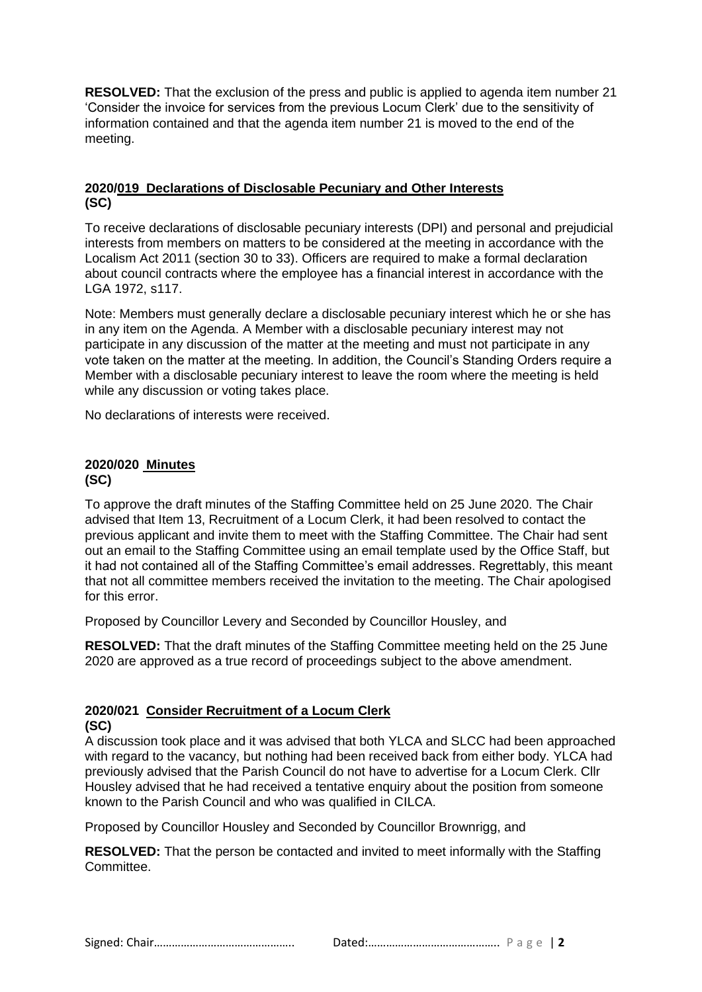**RESOLVED:** That the exclusion of the press and public is applied to agenda item number 21 'Consider the invoice for services from the previous Locum Clerk' due to the sensitivity of information contained and that the agenda item number 21 is moved to the end of the meeting.

## **2020/019 Declarations of Disclosable Pecuniary and Other Interests (SC)**

To receive declarations of disclosable pecuniary interests (DPI) and personal and prejudicial interests from members on matters to be considered at the meeting in accordance with the Localism Act 2011 (section 30 to 33). Officers are required to make a formal declaration about council contracts where the employee has a financial interest in accordance with the LGA 1972, s117.

Note: Members must generally declare a disclosable pecuniary interest which he or she has in any item on the Agenda. A Member with a disclosable pecuniary interest may not participate in any discussion of the matter at the meeting and must not participate in any vote taken on the matter at the meeting. In addition, the Council's Standing Orders require a Member with a disclosable pecuniary interest to leave the room where the meeting is held while any discussion or voting takes place.

No declarations of interests were received.

#### **2020/020 Minutes (SC)**

To approve the draft minutes of the Staffing Committee held on 25 June 2020. The Chair advised that Item 13, Recruitment of a Locum Clerk, it had been resolved to contact the previous applicant and invite them to meet with the Staffing Committee. The Chair had sent out an email to the Staffing Committee using an email template used by the Office Staff, but it had not contained all of the Staffing Committee's email addresses. Regrettably, this meant that not all committee members received the invitation to the meeting. The Chair apologised for this error.

Proposed by Councillor Levery and Seconded by Councillor Housley, and

**RESOLVED:** That the draft minutes of the Staffing Committee meeting held on the 25 June 2020 are approved as a true record of proceedings subject to the above amendment.

#### **2020/021 Consider Recruitment of a Locum Clerk (SC)**

A discussion took place and it was advised that both YLCA and SLCC had been approached with regard to the vacancy, but nothing had been received back from either body. YLCA had previously advised that the Parish Council do not have to advertise for a Locum Clerk. Cllr Housley advised that he had received a tentative enquiry about the position from someone known to the Parish Council and who was qualified in CILCA.

Proposed by Councillor Housley and Seconded by Councillor Brownrigg, and

**RESOLVED:** That the person be contacted and invited to meet informally with the Staffing Committee.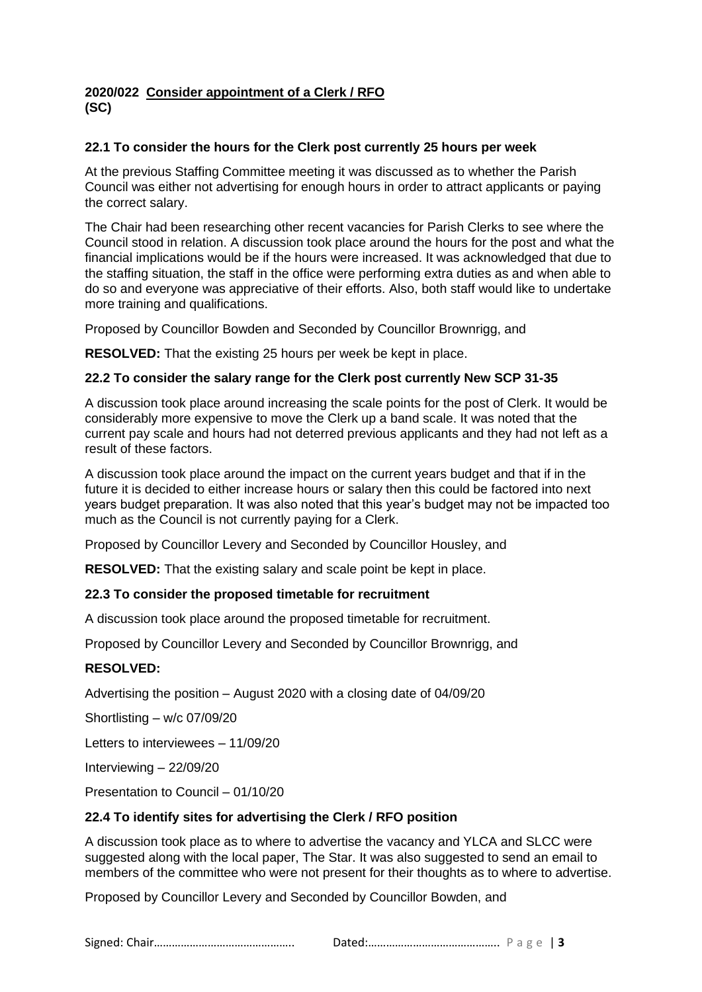#### **2020/022 Consider appointment of a Clerk / RFO (SC)**

### **22.1 To consider the hours for the Clerk post currently 25 hours per week**

At the previous Staffing Committee meeting it was discussed as to whether the Parish Council was either not advertising for enough hours in order to attract applicants or paying the correct salary.

The Chair had been researching other recent vacancies for Parish Clerks to see where the Council stood in relation. A discussion took place around the hours for the post and what the financial implications would be if the hours were increased. It was acknowledged that due to the staffing situation, the staff in the office were performing extra duties as and when able to do so and everyone was appreciative of their efforts. Also, both staff would like to undertake more training and qualifications.

Proposed by Councillor Bowden and Seconded by Councillor Brownrigg, and

**RESOLVED:** That the existing 25 hours per week be kept in place.

#### **22.2 To consider the salary range for the Clerk post currently New SCP 31-35**

A discussion took place around increasing the scale points for the post of Clerk. It would be considerably more expensive to move the Clerk up a band scale. It was noted that the current pay scale and hours had not deterred previous applicants and they had not left as a result of these factors.

A discussion took place around the impact on the current years budget and that if in the future it is decided to either increase hours or salary then this could be factored into next years budget preparation. It was also noted that this year's budget may not be impacted too much as the Council is not currently paying for a Clerk.

Proposed by Councillor Levery and Seconded by Councillor Housley, and

**RESOLVED:** That the existing salary and scale point be kept in place.

#### **22.3 To consider the proposed timetable for recruitment**

A discussion took place around the proposed timetable for recruitment.

Proposed by Councillor Levery and Seconded by Councillor Brownrigg, and

#### **RESOLVED:**

Advertising the position – August 2020 with a closing date of 04/09/20

Shortlisting – w/c 07/09/20

Letters to interviewees – 11/09/20

Interviewing – 22/09/20

Presentation to Council – 01/10/20

#### **22.4 To identify sites for advertising the Clerk / RFO position**

A discussion took place as to where to advertise the vacancy and YLCA and SLCC were suggested along with the local paper, The Star. It was also suggested to send an email to members of the committee who were not present for their thoughts as to where to advertise.

Proposed by Councillor Levery and Seconded by Councillor Bowden, and

Signed: Chair……………………………………….. Dated:…………………………………….. P a g e | **3**